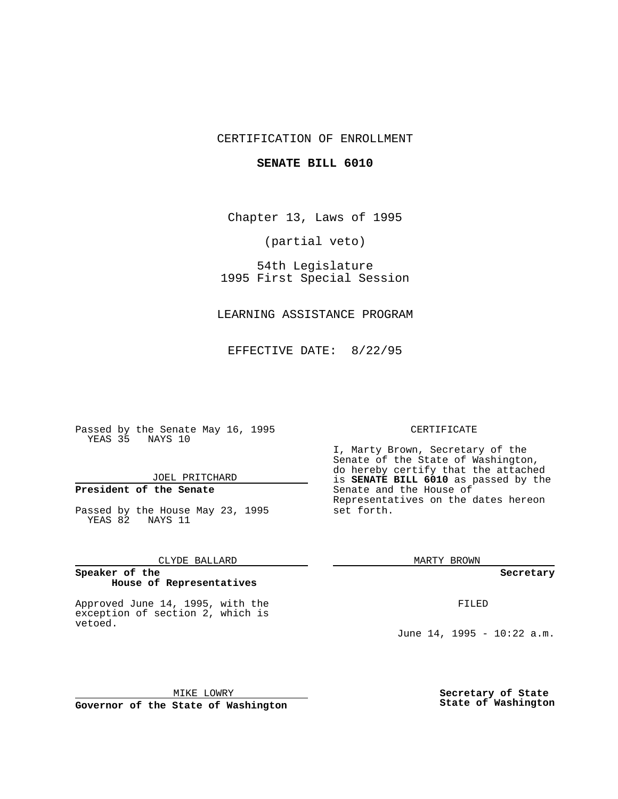## CERTIFICATION OF ENROLLMENT

### **SENATE BILL 6010**

Chapter 13, Laws of 1995

(partial veto)

54th Legislature 1995 First Special Session

LEARNING ASSISTANCE PROGRAM

EFFECTIVE DATE: 8/22/95

Passed by the Senate May 16, 1995 YEAS 35 NAYS 10

JOEL PRITCHARD

## **President of the Senate**

Passed by the House May 23, 1995 YEAS 82 NAYS 11

CLYDE BALLARD

#### **Speaker of the House of Representatives**

Approved June 14, 1995, with the exception of section 2, which is vetoed.

#### CERTIFICATE

I, Marty Brown, Secretary of the Senate of the State of Washington, do hereby certify that the attached is **SENATE BILL 6010** as passed by the Senate and the House of Representatives on the dates hereon set forth.

MARTY BROWN

**Secretary**

FILED

June 14, 1995 - 10:22 a.m.

MIKE LOWRY **Governor of the State of Washington** **Secretary of State State of Washington**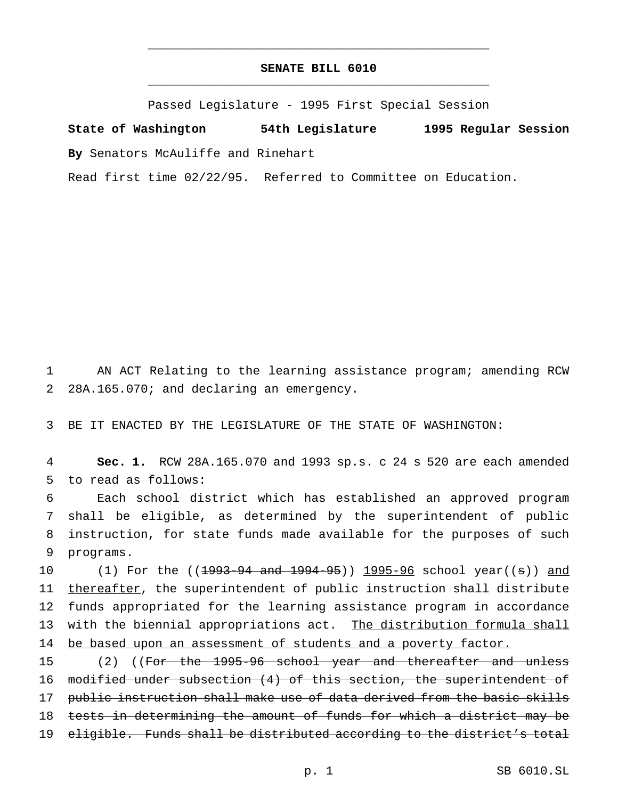# **SENATE BILL 6010** \_\_\_\_\_\_\_\_\_\_\_\_\_\_\_\_\_\_\_\_\_\_\_\_\_\_\_\_\_\_\_\_\_\_\_\_\_\_\_\_\_\_\_\_\_\_\_

\_\_\_\_\_\_\_\_\_\_\_\_\_\_\_\_\_\_\_\_\_\_\_\_\_\_\_\_\_\_\_\_\_\_\_\_\_\_\_\_\_\_\_\_\_\_\_

Passed Legislature - 1995 First Special Session

**State of Washington 54th Legislature 1995 Regular Session By** Senators McAuliffe and Rinehart

Read first time 02/22/95. Referred to Committee on Education.

1 AN ACT Relating to the learning assistance program; amending RCW 2 28A.165.070; and declaring an emergency.

3 BE IT ENACTED BY THE LEGISLATURE OF THE STATE OF WASHINGTON:

4 **Sec. 1.** RCW 28A.165.070 and 1993 sp.s. c 24 s 520 are each amended 5 to read as follows:

 Each school district which has established an approved program shall be eligible, as determined by the superintendent of public instruction, for state funds made available for the purposes of such programs.

10 (1) For the ((<del>1993-94 and 1994-95</del>)) 1995-96 school year((s)) and 11 thereafter, the superintendent of public instruction shall distribute 12 funds appropriated for the learning assistance program in accordance 13 with the biennial appropriations act. The distribution formula shall 14 be based upon an assessment of students and a poverty factor.

15 (2) ((For the 1995-96 school year and thereafter and unless 16 modified under subsection (4) of this section, the superintendent of 17 public instruction shall make use of data derived from the basic skills 18 tests in determining the amount of funds for which a district may be 19 eligible. Funds shall be distributed according to the district's total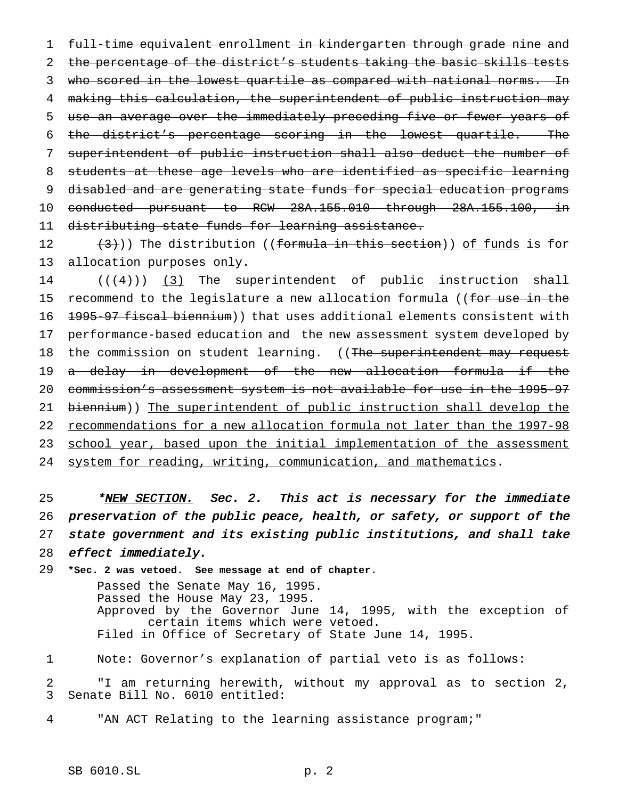full-time equivalent enrollment in kindergarten through grade nine and 2 the percentage of the district's students taking the basic skills tests 3 who scored in the lowest quartile as compared with national norms. In making this calculation, the superintendent of public instruction may use an average over the immediately preceding five or fewer years of the district's percentage scoring in the lowest quartile. The superintendent of public instruction shall also deduct the number of students at these age levels who are identified as specific learning disabled and are generating state funds for special education programs conducted pursuant to RCW 28A.155.010 through 28A.155.100, in distributing state funds for learning assistance.

12  $(3)$ )) The distribution ((formula in this section)) of funds is for allocation purposes only.

 $((+4))$   $(3)$  The superintendent of public instruction shall 15 recommend to the legislature a new allocation formula ((for use in the 16 <del>1995-97 fiscal biennium</del>)) that uses additional elements consistent with performance-based education and the new assessment system developed by 18 the commission on student learning. ((The superintendent may request a delay in development of the new allocation formula if the commission's assessment system is not available for use in the 1995-97 biennium)) The superintendent of public instruction shall develop the recommendations for a new allocation formula not later than the 1997-98 23 school year, based upon the initial implementation of the assessment system for reading, writing, communication, and mathematics.

25 \*NEW SECTION. Sec. 2. This act is necessary for the immediate preservation of the public peace, health, or safety, or support of the state government and its existing public institutions, and shall take effect immediately.

 **\*Sec. 2 was vetoed. See message at end of chapter.** Passed the Senate May 16, 1995. Passed the House May 23, 1995. Approved by the Governor June 14, 1995, with the exception of certain items which were vetoed. Filed in Office of Secretary of State June 14, 1995.

Note: Governor's explanation of partial veto is as follows:

 "I am returning herewith, without my approval as to section 2, Senate Bill No. 6010 entitled:

"AN ACT Relating to the learning assistance program;"